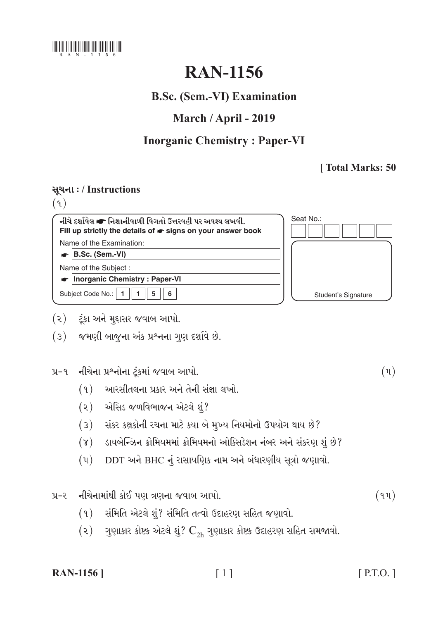

# **RAN-1156**

#### **B.Sc. (Sem.-VI) Examination**

### March / April - 2019

## **Inorganic Chemistry: Paper-VI**

#### [Total Marks: 50

#### સૂચના: / Instructions

 $(9)$ 

નીચે દર્શાવેલ σ નિશાનીવાળી વિગતો ઉત્તરવહી પર અવશ્ય લખવી. Fill up strictly the details of  $\bullet$  signs on your answer book Name of the Examination:

 $\bullet$  B.Sc. (Sem.-VI)

Name of the Subject:

Inorganic Chemistry: Paper-VI

Subject Code No.: | 1  $\blacksquare$  $5\overline{)}$  $6\overline{6}$ 

- (૨) ટૂંકા અને મુદ્દાસર જવાબ આપો.
- (3) જમણી બાજુના અંક પ્રશ્નના ગુણ દર્શાવે છે.

પ્ર-૧ નીચેના પ્રશ્નોના ટૂંકમાં જવાબ આપો.

- $(9)$  આરસીતલના પ્રકાર અને તેની સંજ્ઞા લખો.
- (૨) એસિડ જળવિભાજન એટલે શું?
- (3) સંકર કક્ષકોની રચના માટે કયા બે મુખ્ય નિયમોનો ઉપયોગ થાય છે?
- (४) ડાયબેન્ઝિન ક્રોમિયમમાં ક્રોમિયમનો ઓક્સિડેશન નંબર અને સંકરણ શું છે?
- DDT અને BHC નું રાસાયણિક નામ અને બંધારણીય સૂત્રો જણાવો.  $(\mathfrak{y})$

પ્ર-૨ નીચેનામાંથી કોઈ પણ ત્રણના જવાબ આપો.

- (१) સંમિતિ એટલે શું? સંમિતિ તત્વો ઉદાહરણ સહિત જણાવો.
- $(2)$  ગુણાકાર કોષ્ટક એટલે શું?  $C_{2h}$  ગુણાકાર કોષ્ટક ઉદાહરણ સહિત સમજાવો.

| <b>RAN-1156</b> ] |
|-------------------|
|-------------------|

Seat No.: **Student's Signature** 

 $(\mathfrak{y})$ 

 $(94)$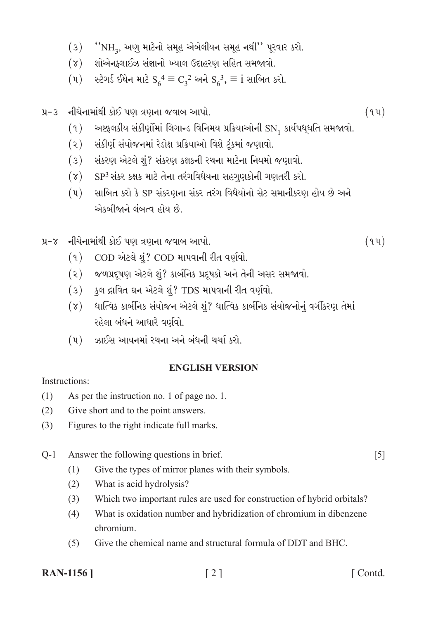- "NH<sub>3</sub>, અણુ માટેનો સમૂહ એબેલીયન સમૂહ નથી" પૂરવાર કરો.  $(3)$
- શોએનક્લાઈઝ સંજ્ઞાનો ખ્યાલ ઉદાહરણ સહિત સમજાવો.  $(\lambda)$
- સ્ટેગર્ડ ઈથેન માટે  $S_6^4 \equiv C_3^2$  અને  $S_6^3$ ,  $\equiv$  i સાબિત કરો.  $(\mathfrak{u})$
- નીચેનામાંથી કોઈ પણ ત્રણના જવાબ આપો.  $y - 3$ 
	- અષ્ટફલકીય સંકીર્ણોમાં લિગાન્ડ વિનિમય પ્રક્રિયાઓની  $\text{SN}_{1}$  કાર્યપધ્ઇતિ સમજાવો.  $(9)$
	- સંકીર્ણ સંયોજનમાં રેડોક્ષ પ્રક્રિયાઓ વિશે ટૂંકમાં જણાવો.  $\left( \mathcal{S}\right)$
	- સંકરણ એટલે શું? સંકરણ કક્ષકની રચના માટેના નિયમો જણાવો.  $(3)$
	- SP<sup>3</sup> સંકર કક્ષક માટે તેના તરંગવિધેયના સહગણકોની ગણતરી કરો.  $(\lambda)$
	- સાબિત કરો કે SP સંકરણના સંકર તરંગ વિધેયોનો સેટ સમાનીકરણ હોય છે અને  $(\mathfrak{y})$ એકબીજાને લંબત્વ હોય છે.
- પ્ર-૪ નીચેનામાંથી કોઈ પણ ત્રણના જવાબ આપો.
	- $(9)$ COD એટલે શું? COD માપવાની રીત વર્ણવો.
	- (૨) જળપ્રદૂષણ એટલે શું? કાર્બનિક પ્રદૂષકો અને તેની અસર સમજાવો.
	- કુલ દ્રાવિત ઘન એટલે શું? TDS માપવાની રીત વર્ણવો.  $(3)$
	- ધાત્વિક કાર્બનિક સંયોજન એટલે શું? ધાત્વિક કાર્બનિક સંયોજનોનું વર્ગીકરણ તેમાં  $(\gamma)$ રહેલા બંધને આધારે વર્ણવો.
	- $(4)$  ઝાઈસ આયનમાં રચના અને બંધની ચર્ચા કરો.

#### **ENGLISH VERSION**

Instructions:

- $(1)$ As per the instruction no. 1 of page no. 1.
- $(2)$ Give short and to the point answers.
- $(3)$ Figures to the right indicate full marks.
- $O-1$ Answer the following questions in brief.
	- $(1)$ Give the types of mirror planes with their symbols.
	- $(2)$ What is acid hydrolysis?
	- Which two important rules are used for construction of hybrid orbitals?  $(3)$
	- $(4)$ What is oxidation number and hybridization of chromium in dibenzene chromium.
	- Give the chemical name and structural formula of DDT and BHC.  $(5)$

**RAN-1156** 

 $\lceil 2 \rceil$ 

[Contd.]

 $\lceil 5 \rceil$ 

 $(94)$ 

 $(94)$